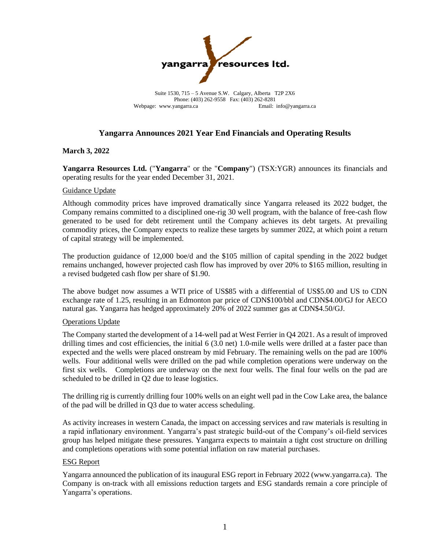

Suite 1530, 715 – 5 Avenue S.W. Calgary, Alberta T2P 2X6 Phone: (403) 262-9558 Fax: (403) 262-8281 Webpage: www.yangarra.ca Email: info@yangarra.ca

### **Yangarra Announces 2021 Year End Financials and Operating Results**

### **March 3, 2022**

**Yangarra Resources Ltd.** ("**Yangarra**" or the "**Company**") (TSX:YGR) announces its financials and operating results for the year ended December 31, 2021.

### Guidance Update

Although commodity prices have improved dramatically since Yangarra released its 2022 budget, the Company remains committed to a disciplined one-rig 30 well program, with the balance of free-cash flow generated to be used for debt retirement until the Company achieves its debt targets. At prevailing commodity prices, the Company expects to realize these targets by summer 2022, at which point a return of capital strategy will be implemented.

The production guidance of 12,000 boe/d and the \$105 million of capital spending in the 2022 budget remains unchanged, however projected cash flow has improved by over 20% to \$165 million, resulting in a revised budgeted cash flow per share of \$1.90.

The above budget now assumes a WTI price of US\$85 with a differential of US\$5.00 and US to CDN exchange rate of 1.25, resulting in an Edmonton par price of CDN\$100/bbl and CDN\$4.00/GJ for AECO natural gas. Yangarra has hedged approximately 20% of 2022 summer gas at CDN\$4.50/GJ.

### Operations Update

The Company started the development of a 14-well pad at West Ferrier in Q4 2021. As a result of improved drilling times and cost efficiencies, the initial 6 (3.0 net) 1.0-mile wells were drilled at a faster pace than expected and the wells were placed onstream by mid February. The remaining wells on the pad are 100% wells. Four additional wells were drilled on the pad while completion operations were underway on the first six wells. Completions are underway on the next four wells. The final four wells on the pad are scheduled to be drilled in Q2 due to lease logistics.

The drilling rig is currently drilling four 100% wells on an eight well pad in the Cow Lake area, the balance of the pad will be drilled in Q3 due to water access scheduling.

As activity increases in western Canada, the impact on accessing services and raw materials is resulting in a rapid inflationary environment. Yangarra's past strategic build-out of the Company's oil-field services group has helped mitigate these pressures. Yangarra expects to maintain a tight cost structure on drilling and completions operations with some potential inflation on raw material purchases.

### ESG Report

Yangarra announced the publication of its inaugural ESG report in February 2022 (www.yangarra.ca). The Company is on-track with all emissions reduction targets and ESG standards remain a core principle of Yangarra's operations.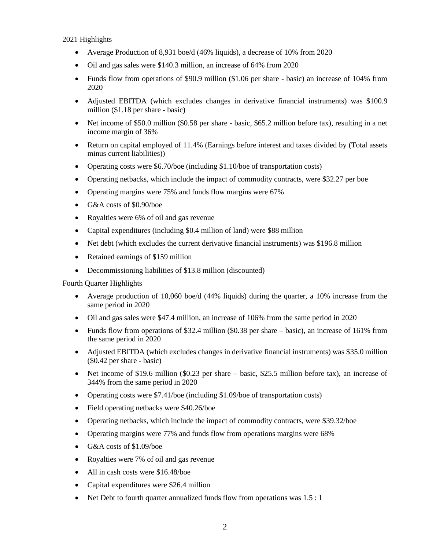### 2021 Highlights

- Average Production of 8,931 boe/d (46% liquids), a decrease of 10% from 2020
- Oil and gas sales were \$140.3 million, an increase of 64% from 2020
- Funds flow from operations of \$90.9 million (\$1.06 per share basic) an increase of 104% from 2020
- Adjusted EBITDA (which excludes changes in derivative financial instruments) was \$100.9 million (\$1.18 per share - basic)
- Net income of \$50.0 million (\$0.58 per share basic, \$65.2 million before tax), resulting in a net income margin of 36%
- Return on capital employed of 11.4% (Earnings before interest and taxes divided by (Total assets minus current liabilities))
- Operating costs were \$6.70/boe (including \$1.10/boe of transportation costs)
- Operating netbacks, which include the impact of commodity contracts, were \$32.27 per boe
- Operating margins were 75% and funds flow margins were 67%
- G&A costs of \$0.90/boe
- Royalties were 6% of oil and gas revenue
- Capital expenditures (including \$0.4 million of land) were \$88 million
- Net debt (which excludes the current derivative financial instruments) was \$196.8 million
- Retained earnings of \$159 million
- Decommissioning liabilities of \$13.8 million (discounted)

### Fourth Quarter Highlights

- Average production of 10,060 boe/d (44% liquids) during the quarter, a 10% increase from the same period in 2020
- Oil and gas sales were \$47.4 million, an increase of 106% from the same period in 2020
- Funds flow from operations of \$32.4 million (\$0.38 per share basic), an increase of 161% from the same period in 2020
- Adjusted EBITDA (which excludes changes in derivative financial instruments) was \$35.0 million (\$0.42 per share - basic)
- Net income of \$19.6 million (\$0.23 per share basic, \$25.5 million before tax), an increase of 344% from the same period in 2020
- Operating costs were \$7.41/boe (including \$1.09/boe of transportation costs)
- Field operating netbacks were \$40.26/boe
- Operating netbacks, which include the impact of commodity contracts, were \$39.32/boe
- Operating margins were 77% and funds flow from operations margins were 68%
- G&A costs of \$1.09/boe
- Royalties were 7% of oil and gas revenue
- All in cash costs were \$16.48/boe
- Capital expenditures were \$26.4 million
- Net Debt to fourth quarter annualized funds flow from operations was 1.5 : 1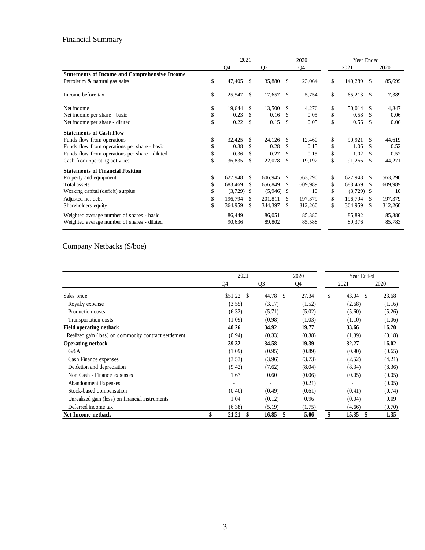## Financial Summary

|                                                      | 2021           |    |                | 2020 |         |            | Year Ended |              |         |  |
|------------------------------------------------------|----------------|----|----------------|------|---------|------------|------------|--------------|---------|--|
|                                                      | Q <sub>4</sub> |    | Q <sub>3</sub> |      | Q4      |            | 2021       |              | 2020    |  |
| <b>Statements of Income and Comprehensive Income</b> |                |    |                |      |         |            |            |              |         |  |
| Petroleum & natural gas sales                        | \$<br>47,405   | \$ | 35,880         | \$   | 23,064  | \$         | 140,289    | \$           | 85,699  |  |
| Income before tax                                    | \$<br>25,547   | \$ | 17,657         | \$   | 5,754   | \$         | 65,213     | $\mathbb{S}$ | 7,389   |  |
| Net income                                           | \$<br>19,644   | \$ | 13,500         | \$   | 4,276   | \$         | 50,014     | \$           | 4.847   |  |
| Net income per share - basic                         | \$<br>0.23     | \$ | 0.16           | \$   | 0.05    | \$         | 0.58       | \$.          | 0.06    |  |
| Net income per share - diluted                       | \$<br>0.22     | \$ | 0.15           | \$   | 0.05    | \$         | 0.56       | \$           | 0.06    |  |
| <b>Statements of Cash Flow</b>                       |                |    |                |      |         |            |            |              |         |  |
| Funds flow from operations                           | \$<br>32.425   | \$ | 24.126         | \$   | 12,460  | \$         | 90.921     | \$           | 44,619  |  |
| Funds flow from operations per share - basic         | \$<br>0.38     | \$ | 0.28           | \$   | 0.15    | \$         | 1.06       | \$           | 0.52    |  |
| Funds flow from operations per share - diluted       | \$<br>0.36     | \$ | 0.27           | \$   | 0.15    | \$         | 1.02       | \$           | 0.52    |  |
| Cash from operating activities                       | \$<br>36,835   | \$ | 22,078         | \$   | 19,192  | \$         | 91,266     | \$           | 44,271  |  |
| <b>Statements of Financial Position</b>              |                |    |                |      |         |            |            |              |         |  |
| Property and equipment                               | \$<br>627,948  | \$ | 606,945        | \$   | 563,290 | \$         | 627,948    | \$           | 563,290 |  |
| <b>Total assets</b>                                  | \$<br>683,469  | \$ | 656,849        | \$   | 609,989 | \$         | 683,469    | \$           | 609,989 |  |
| Working capital (deficit) surplus                    | \$<br>(3,729)  | \$ | (5,946)        | \$   | 10      | \$         | (3,729)    | -\$          | 10      |  |
| Adjusted net debt                                    | \$<br>196.794  | \$ | 201,811        | \$   | 197,379 | \$         | 196,794    | \$           | 197.379 |  |
| Shareholders equity                                  | \$<br>364,959  | \$ | 344,397        | \$   | 312,260 | \$         | 364,959    | \$           | 312,260 |  |
| Weighted average number of shares - basic            | 86.449         |    | 86.051         |      | 85,380  |            | 85,892     |              | 85,380  |  |
| Weighted average number of shares - diluted          | 90,636         |    | 89,802         |      | 85,588  |            | 89,376     |              | 85,783  |  |
| Company Netbacks (\$/boe)                            |                |    |                |      |         |            |            |              |         |  |
|                                                      | 2021           |    |                |      | 2020    | Year Ended |            |              |         |  |

# Company Netbacks (\$/boe)

|                                                       | 2021 |         |    |        | 2020 | Year Ended |    |                        |        |
|-------------------------------------------------------|------|---------|----|--------|------|------------|----|------------------------|--------|
|                                                       |      | Q4      |    | Q3     |      | Q4         |    | 2021                   | 2020   |
| Sales price                                           |      | \$51.22 | \$ | 44.78  | -S   | 27.34      | \$ | 43.04<br><sup>\$</sup> | 23.68  |
| Royalty expense                                       |      | (3.55)  |    | (3.17) |      | (1.52)     |    | (2.68)                 | (1.16) |
| Production costs                                      |      | (6.32)  |    | (5.71) |      | (5.02)     |    | (5.60)                 | (5.26) |
| Transportation costs                                  |      | (1.09)  |    | (0.98) |      | (1.03)     |    | (1.10)                 | (1.06) |
| <b>Field operating netback</b>                        |      | 40.26   |    | 34.92  |      | 19.77      |    | 33.66                  | 16.20  |
| Realized gain (loss) on commodity contract settlement |      | (0.94)  |    | (0.33) |      | (0.38)     |    | (1.39)                 | (0.18) |
| <b>Operating netback</b>                              |      | 39.32   |    | 34.58  |      | 19.39      |    | 32.27                  | 16.02  |
| G&A                                                   |      | (1.09)  |    | (0.95) |      | (0.89)     |    | (0.90)                 | (0.65) |
| Cash Finance expenses                                 |      | (3.53)  |    | (3.96) |      | (3.73)     |    | (2.52)                 | (4.21) |
| Depletion and depreciation                            |      | (9.42)  |    | (7.62) |      | (8.04)     |    | (8.34)                 | (8.36) |
| Non Cash - Finance expenses                           |      | 1.67    |    | 0.60   |      | (0.06)     |    | (0.05)                 | (0.05) |
| Abandonment Expenses                                  |      |         |    |        |      | (0.21)     |    |                        | (0.05) |
| Stock-based compensation                              |      | (0.40)  |    | (0.49) |      | (0.61)     |    | (0.41)                 | (0.74) |
| Unrealized gain (loss) on financial instruments       |      | 1.04    |    | (0.12) |      | 0.96       |    | (0.04)                 | 0.09   |
| Deferred income tax                                   |      | (6.38)  |    | (5.19) |      | (1.75)     |    | (4.66)                 | (0.70) |
| Net Income netback                                    |      | 21.21   | \$ | 16.85  | -S   | 5.06       | \$ | 15.35<br>-S            | 1.35   |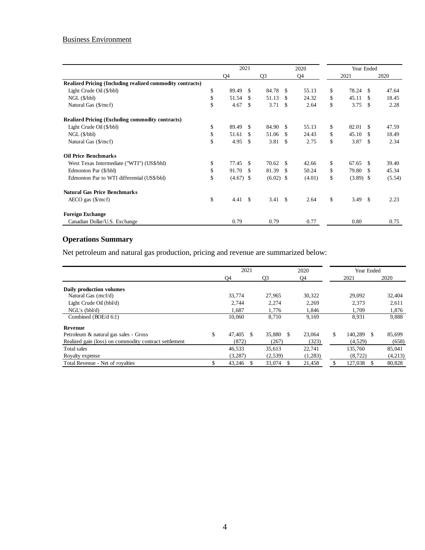## Business Environment

|                                                           | 2021<br>2020 |        |               |                |     |        | Year Ended |             |               |        |
|-----------------------------------------------------------|--------------|--------|---------------|----------------|-----|--------|------------|-------------|---------------|--------|
|                                                           |              |        |               |                |     |        |            |             |               |        |
|                                                           |              | Q4     |               | Q <sub>3</sub> |     | Q4     |            | 2021        |               | 2020   |
| Realized Pricing (Including realized commodity contracts) |              |        |               |                |     |        |            |             |               |        |
| Light Crude Oil (\$/bbl)                                  | \$           | 89.49  | \$            | 84.78          | -S  | 55.13  | \$         | 78.24       | £.            | 47.64  |
| $NGL$ ( $$/bbl$ )                                         | \$           | 51.54  | \$.           | 51.13          | \$  | 24.32  | \$         | 45.11       | \$.           | 18.45  |
| Natural Gas (\$/mcf)                                      | \$           | 4.67   | \$            | 3.71           | -S  | 2.64   | \$         | 3.75        | \$.           | 2.28   |
| <b>Realized Pricing (Excluding commodity contracts)</b>   |              |        |               |                |     |        |            |             |               |        |
| Light Crude Oil (\$/bbl)                                  | \$           | 89.49  | \$.           | 84.90          | \$. | 55.13  | \$         | 82.01       | \$.           | 47.59  |
| $NGL$ ( $$/bb1)$ )                                        | \$           | 51.61  | \$.           | 51.06          | \$. | 24.43  | \$         | 45.10       | £.            | 18.49  |
| Natural Gas (\$/mcf)                                      | \$           | 4.95   | \$            | 3.81           | \$. | 2.75   | \$         | 3.87        | \$            | 2.34   |
| <b>Oil Price Benchmarks</b>                               |              |        |               |                |     |        |            |             |               |        |
| West Texas Intermediate ("WTI") (US\$/bbl)                | \$           | 77.45  | \$.           | 70.62          | \$. | 42.66  | \$         | 67.65       | £.            | 39.40  |
| Edmonton Par (\$/bbl)                                     | \$           | 91.70  | \$            | 81.39          | -S  | 50.24  | \$         | 79.80       | £.            | 45.34  |
| Edmonton Par to WTI differential (US\$/bbl)               | \$           | (4.67) | <sup>\$</sup> | (6.02)         | -S  | (4.01) | \$         | $(3.89)$ \$ |               | (5.54) |
| <b>Natural Gas Price Benchmarks</b>                       |              |        |               |                |     |        |            |             |               |        |
| $AECO$ gas $(\frac{5}{mcf})$                              | \$           | 4.41   | \$.           | 3.41           | -\$ | 2.64   | \$         | 3.49        | <sup>\$</sup> | 2.23   |
| <b>Foreign Exchange</b>                                   |              |        |               |                |     |        |            |             |               |        |
| Canadian Dollar/U.S. Exchange                             |              | 0.79   |               | 0.79           |     | 0.77   |            | 0.80        |               | 0.75   |

# **Operations Summary**

Net petroleum and natural gas production, pricing and revenue are summarized below:

|                                                       | 2021 |               |               | 2020    | Year Ended |               |         |  |
|-------------------------------------------------------|------|---------------|---------------|---------|------------|---------------|---------|--|
|                                                       |      | O4            | O3            | Q4      |            | 2021          | 2020    |  |
| Daily production volumes                              |      |               |               |         |            |               |         |  |
| Natural Gas (mcf/d)                                   |      | 33,774        | 27,965        | 30,322  |            | 29,092        | 32,404  |  |
| Light Crude Oil (bbl/d)                               |      | 2.744         | 2.274         | 2.269   |            | 2,373         | 2,611   |  |
| NGL's (bb1/d)                                         |      | 1,687         | 1,776         | 1,846   |            | 1,709         | 1,876   |  |
| Combined (BOE/d 6:1)                                  |      | 10.060        | 8.710         | 9,169   |            | 8,931         | 9,888   |  |
| <b>Revenue</b>                                        |      |               |               |         |            |               |         |  |
| Petroleum & natural gas sales - Gross                 |      | 47.405<br>\$. | 35,880<br>\$. | 23,064  | \$         | 140.289<br>-S | 85.699  |  |
| Realized gain (loss) on commodity contract settlement |      | (872)         | (267)         | (323)   |            | (4,529)       | (658)   |  |
| Total sales                                           |      | 46,533        | 35,613        | 22,741  |            | 135,760       | 85,041  |  |
| Royalty expense                                       |      | (3,287)       | (2,539)       | (1,283) |            | (8, 722)      | (4,213) |  |
| Total Revenue - Net of royalties                      |      | 43,246        | 33,074        | 21,458  |            | 127,038       | 80,828  |  |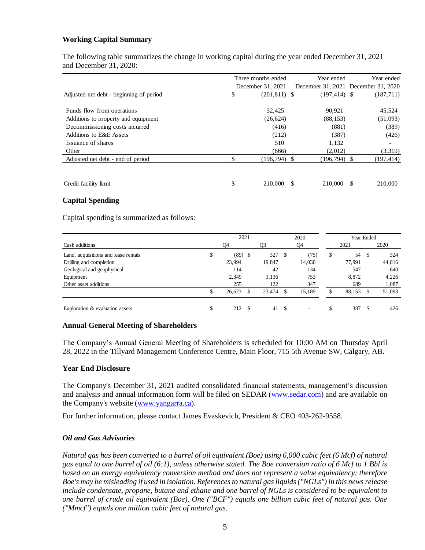### **Working Capital Summary**

The following table summarizes the change in working capital during the year ended December 31, 2021 and December 31, 2020:

|                                         | Three months ended    | Year ended      | Year ended                          |
|-----------------------------------------|-----------------------|-----------------|-------------------------------------|
|                                         | December 31, 2021     |                 | December 31, 2021 December 31, 2020 |
| Adjusted net debt - beginning of period | \$<br>$(201, 811)$ \$ | $(197, 414)$ \$ | (187,711)                           |
| Funds flow from operations              | 32,425                | 90,921          | 45,524                              |
| Additions to property and equipment     | (26, 624)             | (88, 153)       | (51,093)                            |
| Decommissioning costs incurred          | (416)                 | (881)           | (389)                               |
| Additions to E&E Assets                 | (212)                 | (387)           | (426)                               |
| Issuance of shares                      | 510                   | 1,132           | $\overline{\phantom{a}}$            |
| Other                                   | (666)                 | (2,012)         | (3,319)                             |
| Adjusted net debt - end of period       | $(196, 794)$ \$       | $(196,794)$ \$  | (197, 414)                          |
|                                         |                       |                 |                                     |
| Credit facility limit                   | \$<br>210,000         | 210,000         | 210,000<br>\$.                      |

### **Capital Spending**

Capital spending is summarized as follows:

|                                           | 2021   |           |        | 2020 |        | Year Ended |        |    |        |
|-------------------------------------------|--------|-----------|--------|------|--------|------------|--------|----|--------|
| Cash additions                            | Q4     |           | Q3     |      | Q4     |            | 2021   |    | 2020   |
| Land, acquisitions and lease rentals<br>ъ |        | $(89)$ \$ | 327    | \$   | (75)   | S          | 54     | S  | 324    |
| Drilling and completion                   | 23,994 |           | 19,847 |      | 14,030 |            | 77,991 |    | 44,816 |
| Geological and geophysical                | 114    |           | 42     |      | 134    |            | 547    |    | 640    |
| Equipment                                 | 2,349  |           | 3,136  |      | 753    |            | 8,872  |    | 4,226  |
| Other asset additions                     | 255    |           | 122    |      | 347    |            | 689    |    | 1,087  |
|                                           | 26,623 |           | 23,474 | \$.  | 15.189 |            | 88,153 | S. | 51,093 |
| Exploration & evaluation assets           | 212    | S         | 41     | - \$ | ٠      | \$         | 387    | \$ | 426    |

### **Annual General Meeting of Shareholders**

The Company's Annual General Meeting of Shareholders is scheduled for 10:00 AM on Thursday April 28, 2022 in the Tillyard Management Conference Centre, Main Floor, 715 5th Avenue SW, Calgary, AB.

#### **Year End Disclosure**

The Company's December 31, 2021 audited consolidated financial statements, management's discussion and analysis and annual information form will be filed on SEDAR [\(www.sedar.com\)](http://us.lrd.yahoo.com/SIG=10q41mvbm/**http%3A/www.sedar.com/) and are available on the Company's website [\(www.yangarra.ca\)](http://www.yangarra.ca/).

For further information, please contact James Evaskevich, President & CEO 403-262-9558.

### *Oil and Gas Advisories*

*Natural gas has been converted to a barrel of oil equivalent (Boe) using 6,000 cubic feet (6 Mcf) of natural gas equal to one barrel of oil (6:1), unless otherwise stated. The Boe conversion ratio of 6 Mcf to 1 Bbl is based on an energy equivalency conversion method and does not represent a value equivalency; therefore Boe's may be misleading if used in isolation. References to natural gas liquids ("NGLs") in this news release include condensate, propane, butane and ethane and one barrel of NGLs is considered to be equivalent to one barrel of crude oil equivalent (Boe). One ("BCF") equals one billion cubic feet of natural gas. One ("Mmcf") equals one million cubic feet of natural gas.*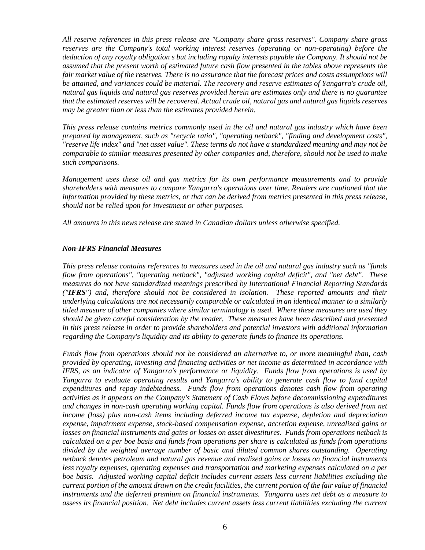*All reserve references in this press release are "Company share gross reserves". Company share gross reserves are the Company's total working interest reserves (operating or non-operating) before the deduction of any royalty obligation s but including royalty interests payable the Company. It should not be assumed that the present worth of estimated future cash flow presented in the tables above represents the fair market value of the reserves. There is no assurance that the forecast prices and costs assumptions will be attained, and variances could be material. The recovery and reserve estimates of Yangarra's crude oil, natural gas liquids and natural gas reserves provided herein are estimates only and there is no guarantee that the estimated reserves will be recovered. Actual crude oil, natural gas and natural gas liquids reserves may be greater than or less than the estimates provided herein.*

*This press release contains metrics commonly used in the oil and natural gas industry which have been prepared by management, such as "recycle ratio", "operating netback", "finding and development costs", "reserve life index" and "net asset value". These terms do not have a standardized meaning and may not be comparable to similar measures presented by other companies and, therefore, should not be used to make such comparisons.* 

*Management uses these oil and gas metrics for its own performance measurements and to provide shareholders with measures to compare Yangarra's operations over time. Readers are cautioned that the information provided by these metrics, or that can be derived from metrics presented in this press release, should not be relied upon for investment or other purposes.*

*All amounts in this news release are stated in Canadian dollars unless otherwise specified.* 

### *Non-IFRS Financial Measures*

*This press release contains references to measures used in the oil and natural gas industry such as "funds flow from operations", "operating netback", "adjusted working capital deficit", and "net debt". These measures do not have standardized meanings prescribed by International Financial Reporting Standards ("IFRS") and, therefore should not be considered in isolation. These reported amounts and their underlying calculations are not necessarily comparable or calculated in an identical manner to a similarly titled measure of other companies where similar terminology is used. Where these measures are used they should be given careful consideration by the reader. These measures have been described and presented in this press release in order to provide shareholders and potential investors with additional information regarding the Company's liquidity and its ability to generate funds to finance its operations.* 

*Funds flow from operations should not be considered an alternative to, or more meaningful than, cash provided by operating, investing and financing activities or net income as determined in accordance with IFRS, as an indicator of Yangarra's performance or liquidity. Funds flow from operations is used by Yangarra to evaluate operating results and Yangarra's ability to generate cash flow to fund capital expenditures and repay indebtedness. Funds flow from operations denotes cash flow from operating activities as it appears on the Company's Statement of Cash Flows before decommissioning expenditures and changes in non-cash operating working capital. Funds flow from operations is also derived from net income (loss) plus non-cash items including deferred income tax expense, depletion and depreciation expense, impairment expense, stock-based compensation expense, accretion expense, unrealized gains or losses on financial instruments and gains or losses on asset divestitures. Funds from operations netback is calculated on a per boe basis and funds from operations per share is calculated as funds from operations divided by the weighted average number of basic and diluted common shares outstanding. Operating netback denotes petroleum and natural gas revenue and realized gains or losses on financial instruments less royalty expenses, operating expenses and transportation and marketing expenses calculated on a per boe basis. Adjusted working capital deficit includes current assets less current liabilities excluding the current portion of the amount drawn on the credit facilities, the current portion of the fair value of financial instruments and the deferred premium on financial instruments. Yangarra uses net debt as a measure to*  assess its financial position. Net debt includes current assets less current liabilities excluding the current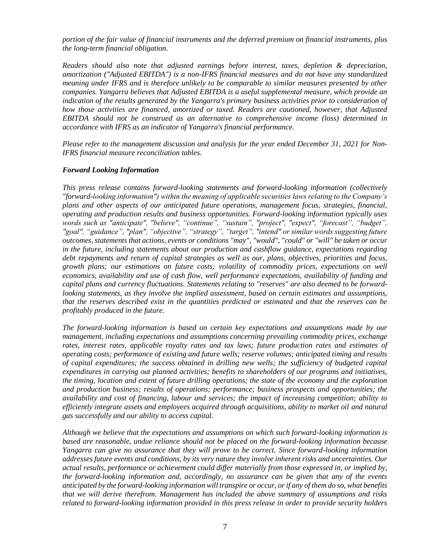*portion of the fair value of financial instruments and the deferred premium on financial instruments, plus the long-term financial obligation.*

*Readers should also note that adjusted earnings before interest, taxes, depletion & depreciation, amortization ("Adjusted EBITDA") is a non-IFRS financial measures and do not have any standardized meaning under IFRS and is therefore unlikely to be comparable to similar measures presented by other companies. Yangarra believes that Adjusted EBITDA is a useful supplemental measure, which provide an indication of the results generated by the Yangarra's primary business activities prior to consideration of how those activities are financed, amortized or taxed. Readers are cautioned, however, that Adjusted EBITDA should not be construed as an alternative to comprehensive income (loss) determined in accordance with IFRS as an indicator of Yangarra's financial performance.*

*Please refer to the management discussion and analysis for the year ended December 31, 2021 for Non-IFRS financial measure reconciliation tables.*

### *Forward Looking Information*

*This press release contains forward-looking statements and forward-looking information (collectively "forward-looking information") within the meaning of applicable securities laws relating to the Company's plans and other aspects of our anticipated future operations, management focus, strategies, financial, operating and production results and business opportunities. Forward-looking information typically uses words such as "anticipate", "believe", "continue", "sustain", "project", "expect", "forecast", "budget", "goal", "guidance", "plan", "objective", "strategy", "target", "intend" or similar words suggesting future outcomes, statements that actions, events or conditions "may", "would", "could" or "will" be taken or occur in the future, including statements about our production and cashflow guidance, expectations regarding debt repayments and return of capital strategies as well as our, plans, objectives, priorities and focus, growth plans; our estimations on future costs; volatility of commodity prices, expectations on well economics, availability and use of cash flow, well performance expectations, availability of funding and capital plans and currency fluctuations. Statements relating to "reserves" are also deemed to be forwardlooking statements, as they involve the implied assessment, based on certain estimates and assumptions, that the reserves described exist in the quantities predicted or estimated and that the reserves can be profitably produced in the future.*

*The forward-looking information is based on certain key expectations and assumptions made by our management, including expectations and assumptions concerning prevailing commodity prices, exchange rates, interest rates, applicable royalty rates and tax laws; future production rates and estimates of operating costs; performance of existing and future wells; reserve volumes; anticipated timing and results of capital expenditures; the success obtained in drilling new wells; the sufficiency of budgeted capital expenditures in carrying out planned activities; benefits to shareholders of our programs and initiatives, the timing, location and extent of future drilling operations; the state of the economy and the exploration and production business; results of operations; performance; business prospects and opportunities; the availability and cost of financing, labour and services; the impact of increasing competition; ability to efficiently integrate assets and employees acquired through acquisitions, ability to market oil and natural gas successfully and our ability to access capital.*

*Although we believe that the expectations and assumptions on which such forward-looking information is based are reasonable, undue reliance should not be placed on the forward-looking information because Yangarra can give no assurance that they will prove to be correct. Since forward-looking information addresses future events and conditions, by its very nature they involve inherent risks and uncertainties. Our actual results, performance or achievement could differ materially from those expressed in, or implied by, the forward-looking information and, accordingly, no assurance can be given that any of the events anticipated by the forward-looking information will transpire or occur, or if any of them do so, what benefits that we will derive therefrom. Management has included the above summary of assumptions and risks related to forward-looking information provided in this press release in order to provide security holders*